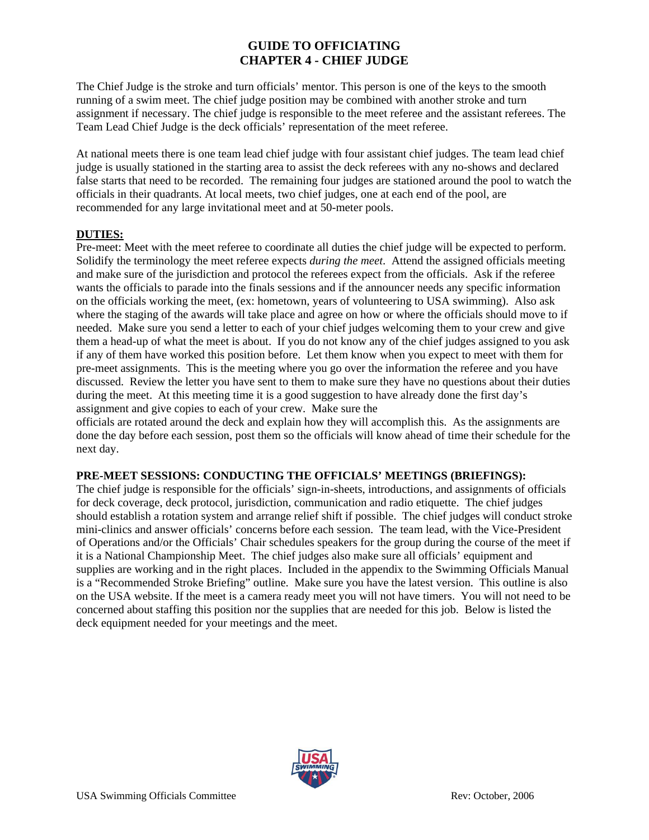## **GUIDE TO OFFICIATING CHAPTER 4 - CHIEF JUDGE**

The Chief Judge is the stroke and turn officials' mentor. This person is one of the keys to the smooth running of a swim meet. The chief judge position may be combined with another stroke and turn assignment if necessary. The chief judge is responsible to the meet referee and the assistant referees. The Team Lead Chief Judge is the deck officials' representation of the meet referee.

At national meets there is one team lead chief judge with four assistant chief judges. The team lead chief judge is usually stationed in the starting area to assist the deck referees with any no-shows and declared false starts that need to be recorded. The remaining four judges are stationed around the pool to watch the officials in their quadrants. At local meets, two chief judges, one at each end of the pool, are recommended for any large invitational meet and at 50-meter pools.

### **DUTIES:**

Pre-meet: Meet with the meet referee to coordinate all duties the chief judge will be expected to perform. Solidify the terminology the meet referee expects *during the meet*. Attend the assigned officials meeting and make sure of the jurisdiction and protocol the referees expect from the officials. Ask if the referee wants the officials to parade into the finals sessions and if the announcer needs any specific information on the officials working the meet, (ex: hometown, years of volunteering to USA swimming). Also ask where the staging of the awards will take place and agree on how or where the officials should move to if needed. Make sure you send a letter to each of your chief judges welcoming them to your crew and give them a head-up of what the meet is about. If you do not know any of the chief judges assigned to you ask if any of them have worked this position before. Let them know when you expect to meet with them for pre-meet assignments. This is the meeting where you go over the information the referee and you have discussed. Review the letter you have sent to them to make sure they have no questions about their duties during the meet. At this meeting time it is a good suggestion to have already done the first day's assignment and give copies to each of your crew. Make sure the

officials are rotated around the deck and explain how they will accomplish this. As the assignments are done the day before each session, post them so the officials will know ahead of time their schedule for the next day.

## **PRE-MEET SESSIONS: CONDUCTING THE OFFICIALS' MEETINGS (BRIEFINGS):**

The chief judge is responsible for the officials' sign-in-sheets, introductions, and assignments of officials for deck coverage, deck protocol, jurisdiction, communication and radio etiquette. The chief judges should establish a rotation system and arrange relief shift if possible. The chief judges will conduct stroke mini-clinics and answer officials' concerns before each session. The team lead, with the Vice-President of Operations and/or the Officials' Chair schedules speakers for the group during the course of the meet if it is a National Championship Meet. The chief judges also make sure all officials' equipment and supplies are working and in the right places. Included in the appendix to the Swimming Officials Manual is a "Recommended Stroke Briefing" outline. Make sure you have the latest version. This outline is also on the USA website. If the meet is a camera ready meet you will not have timers. You will not need to be concerned about staffing this position nor the supplies that are needed for this job. Below is listed the deck equipment needed for your meetings and the meet.

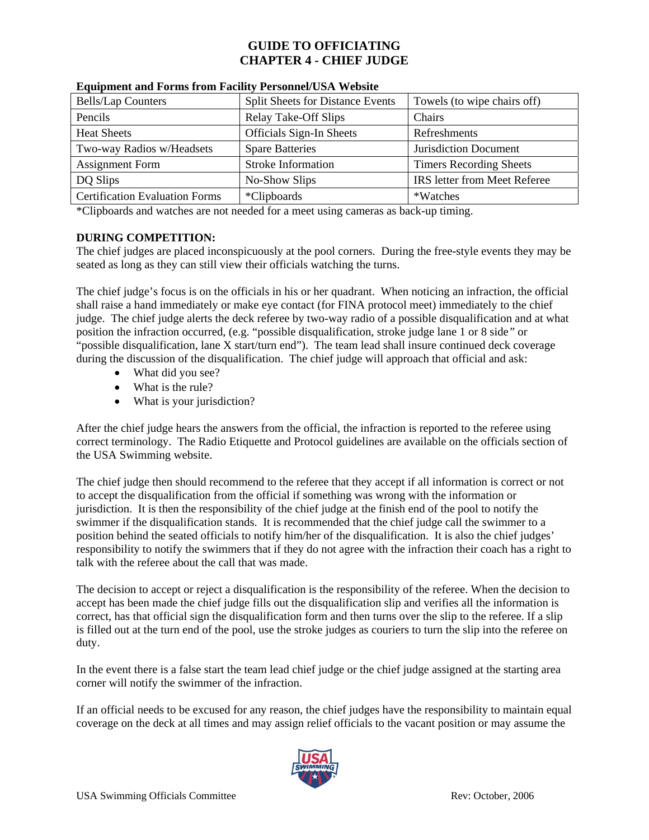## **GUIDE TO OFFICIATING CHAPTER 4 - CHIEF JUDGE**

| <b>Bells/Lap Counters</b>             | <b>Split Sheets for Distance Events</b> | Towels (to wipe chairs off)         |
|---------------------------------------|-----------------------------------------|-------------------------------------|
| Pencils                               | Relay Take-Off Slips                    | Chairs                              |
| <b>Heat Sheets</b>                    | Officials Sign-In Sheets                | Refreshments                        |
| Two-way Radios w/Headsets             | <b>Spare Batteries</b>                  | Jurisdiction Document               |
| <b>Assignment Form</b>                | <b>Stroke Information</b>               | <b>Timers Recording Sheets</b>      |
| DQ Slips                              | No-Show Slips                           | <b>IRS</b> letter from Meet Referee |
| <b>Certification Evaluation Forms</b> | <i>*Clipboards</i>                      | *Watches                            |

#### **Equipment and Forms from Facility Personnel/USA Website**

\*Clipboards and watches are not needed for a meet using cameras as back-up timing.

### **DURING COMPETITION:**

The chief judges are placed inconspicuously at the pool corners. During the free-style events they may be seated as long as they can still view their officials watching the turns.

The chief judge's focus is on the officials in his or her quadrant. When noticing an infraction, the official shall raise a hand immediately or make eye contact (for FINA protocol meet) immediately to the chief judge. The chief judge alerts the deck referee by two-way radio of a possible disqualification and at what position the infraction occurred, (e.g. "possible disqualification, stroke judge lane 1 or 8 side*"* or "possible disqualification, lane X start/turn end"). The team lead shall insure continued deck coverage during the discussion of the disqualification. The chief judge will approach that official and ask:

- What did you see?
- What is the rule?
- What is your jurisdiction?

After the chief judge hears the answers from the official, the infraction is reported to the referee using correct terminology. The Radio Etiquette and Protocol guidelines are available on the officials section of the USA Swimming website.

The chief judge then should recommend to the referee that they accept if all information is correct or not to accept the disqualification from the official if something was wrong with the information or jurisdiction. It is then the responsibility of the chief judge at the finish end of the pool to notify the swimmer if the disqualification stands. It is recommended that the chief judge call the swimmer to a position behind the seated officials to notify him/her of the disqualification. It is also the chief judges' responsibility to notify the swimmers that if they do not agree with the infraction their coach has a right to talk with the referee about the call that was made.

The decision to accept or reject a disqualification is the responsibility of the referee. When the decision to accept has been made the chief judge fills out the disqualification slip and verifies all the information is correct, has that official sign the disqualification form and then turns over the slip to the referee. If a slip is filled out at the turn end of the pool, use the stroke judges as couriers to turn the slip into the referee on duty.

In the event there is a false start the team lead chief judge or the chief judge assigned at the starting area corner will notify the swimmer of the infraction.

If an official needs to be excused for any reason, the chief judges have the responsibility to maintain equal coverage on the deck at all times and may assign relief officials to the vacant position or may assume the